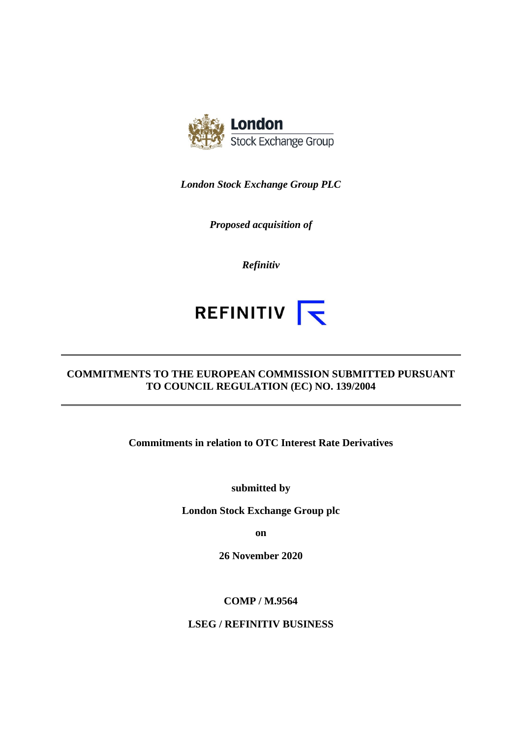

*London Stock Exchange Group PLC* 

*Proposed acquisition of* 

*Refinitiv* 

# REFINITIV **K**

# **COMMITMENTS TO THE EUROPEAN COMMISSION SUBMITTED PURSUANT TO COUNCIL REGULATION (EC) NO. 139/2004**

**Commitments in relation to OTC Interest Rate Derivatives** 

**submitted by** 

**London Stock Exchange Group plc** 

**on** 

**26 November 2020** 

**COMP / M.9564** 

**LSEG / REFINITIV BUSINESS**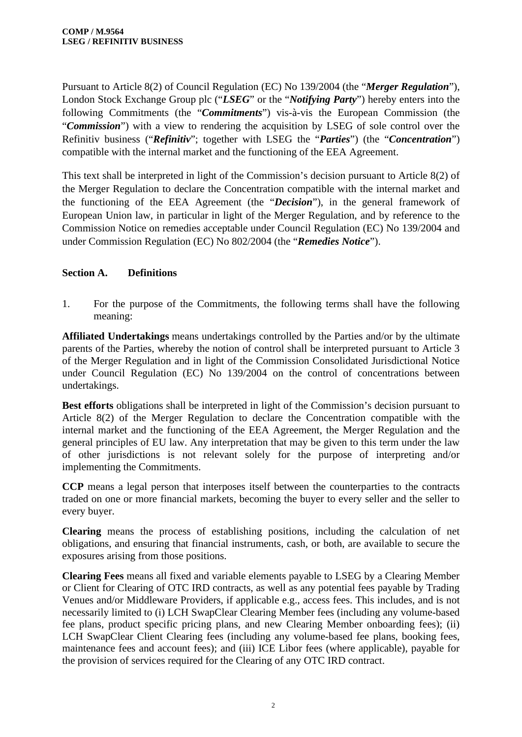Pursuant to Article 8(2) of Council Regulation (EC) No 139/2004 (the "*Merger Regulation*"), London Stock Exchange Group plc ("*LSEG*" or the "*Notifying Party*") hereby enters into the following Commitments (the "*Commitments*") vis-à-vis the European Commission (the "*Commission*") with a view to rendering the acquisition by LSEG of sole control over the Refinitiv business ("*Refinitiv*"; together with LSEG the "*Parties*") (the "*Concentration*") compatible with the internal market and the functioning of the EEA Agreement.

This text shall be interpreted in light of the Commission's decision pursuant to Article 8(2) of the Merger Regulation to declare the Concentration compatible with the internal market and the functioning of the EEA Agreement (the "*Decision*"), in the general framework of European Union law, in particular in light of the Merger Regulation, and by reference to the Commission Notice on remedies acceptable under Council Regulation (EC) No 139/2004 and under Commission Regulation (EC) No 802/2004 (the "*Remedies Notice*").

# **Section A. Definitions**

1. For the purpose of the Commitments, the following terms shall have the following meaning:

**Affiliated Undertakings** means undertakings controlled by the Parties and/or by the ultimate parents of the Parties, whereby the notion of control shall be interpreted pursuant to Article 3 of the Merger Regulation and in light of the Commission Consolidated Jurisdictional Notice under Council Regulation (EC) No 139/2004 on the control of concentrations between undertakings.

**Best efforts** obligations shall be interpreted in light of the Commission's decision pursuant to Article 8(2) of the Merger Regulation to declare the Concentration compatible with the internal market and the functioning of the EEA Agreement, the Merger Regulation and the general principles of EU law. Any interpretation that may be given to this term under the law of other jurisdictions is not relevant solely for the purpose of interpreting and/or implementing the Commitments.

**CCP** means a legal person that interposes itself between the counterparties to the contracts traded on one or more financial markets, becoming the buyer to every seller and the seller to every buyer.

**Clearing** means the process of establishing positions, including the calculation of net obligations, and ensuring that financial instruments, cash, or both, are available to secure the exposures arising from those positions.

**Clearing Fees** means all fixed and variable elements payable to LSEG by a Clearing Member or Client for Clearing of OTC IRD contracts, as well as any potential fees payable by Trading Venues and/or Middleware Providers, if applicable e.g., access fees. This includes, and is not necessarily limited to (i) LCH SwapClear Clearing Member fees (including any volume-based fee plans, product specific pricing plans, and new Clearing Member onboarding fees); (ii) LCH SwapClear Client Clearing fees (including any volume-based fee plans, booking fees, maintenance fees and account fees); and (iii) ICE Libor fees (where applicable), payable for the provision of services required for the Clearing of any OTC IRD contract.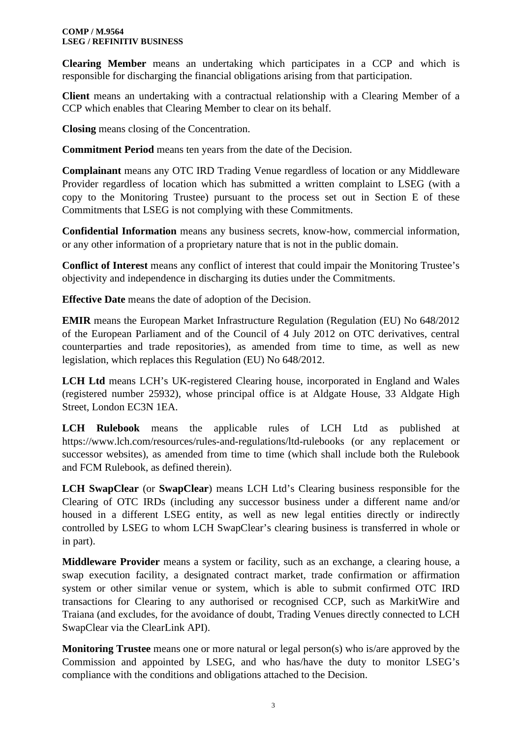**Clearing Member** means an undertaking which participates in a CCP and which is responsible for discharging the financial obligations arising from that participation.

**Client** means an undertaking with a contractual relationship with a Clearing Member of a CCP which enables that Clearing Member to clear on its behalf.

**Closing** means closing of the Concentration.

**Commitment Period** means ten years from the date of the Decision.

**Complainant** means any OTC IRD Trading Venue regardless of location or any Middleware Provider regardless of location which has submitted a written complaint to LSEG (with a copy to the Monitoring Trustee) pursuant to the process set out in Section E of these Commitments that LSEG is not complying with these Commitments.

**Confidential Information** means any business secrets, know-how, commercial information, or any other information of a proprietary nature that is not in the public domain.

**Conflict of Interest** means any conflict of interest that could impair the Monitoring Trustee's objectivity and independence in discharging its duties under the Commitments.

**Effective Date** means the date of adoption of the Decision.

**EMIR** means the European Market Infrastructure Regulation (Regulation (EU) No 648/2012 of the European Parliament and of the Council of 4 July 2012 on OTC derivatives, central counterparties and trade repositories), as amended from time to time, as well as new legislation, which replaces this Regulation (EU) No 648/2012.

**LCH Ltd** means LCH's UK-registered Clearing house, incorporated in England and Wales (registered number 25932), whose principal office is at Aldgate House, 33 Aldgate High Street, London EC3N 1EA.

**LCH Rulebook** means the applicable rules of LCH Ltd as published at https://www.lch.com/resources/rules-and-regulations/ltd-rulebooks (or any replacement or successor websites), as amended from time to time (which shall include both the Rulebook and FCM Rulebook, as defined therein).

**LCH SwapClear** (or **SwapClear**) means LCH Ltd's Clearing business responsible for the Clearing of OTC IRDs (including any successor business under a different name and/or housed in a different LSEG entity, as well as new legal entities directly or indirectly controlled by LSEG to whom LCH SwapClear's clearing business is transferred in whole or in part).

**Middleware Provider** means a system or facility, such as an exchange, a clearing house, a swap execution facility, a designated contract market, trade confirmation or affirmation system or other similar venue or system, which is able to submit confirmed OTC IRD transactions for Clearing to any authorised or recognised CCP, such as MarkitWire and Traiana (and excludes, for the avoidance of doubt, Trading Venues directly connected to LCH SwapClear via the ClearLink API).

**Monitoring Trustee** means one or more natural or legal person(s) who is/are approved by the Commission and appointed by LSEG, and who has/have the duty to monitor LSEG's compliance with the conditions and obligations attached to the Decision.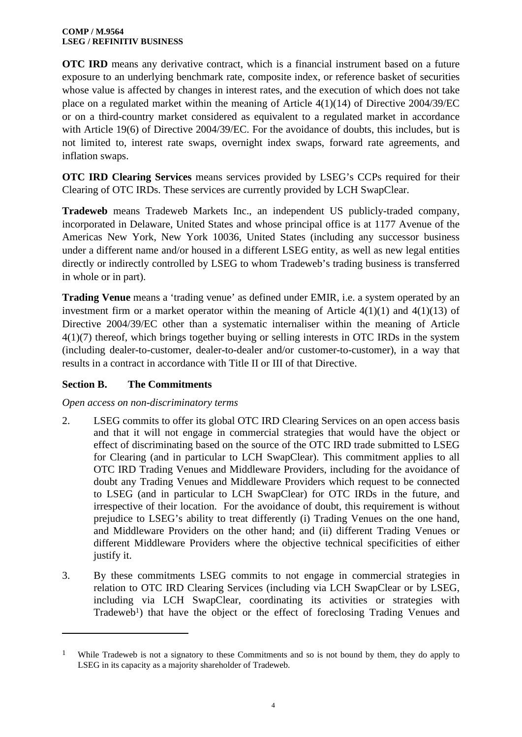**OTC IRD** means any derivative contract, which is a financial instrument based on a future exposure to an underlying benchmark rate, composite index, or reference basket of securities whose value is affected by changes in interest rates, and the execution of which does not take place on a regulated market within the meaning of Article 4(1)(14) of Directive 2004/39/EC or on a third-country market considered as equivalent to a regulated market in accordance with Article 19(6) of Directive 2004/39/EC. For the avoidance of doubts, this includes, but is not limited to, interest rate swaps, overnight index swaps, forward rate agreements, and inflation swaps.

**OTC IRD Clearing Services** means services provided by LSEG's CCPs required for their Clearing of OTC IRDs. These services are currently provided by LCH SwapClear.

**Tradeweb** means Tradeweb Markets Inc., an independent US publicly-traded company, incorporated in Delaware, United States and whose principal office is at 1177 Avenue of the Americas New York, New York 10036, United States (including any successor business under a different name and/or housed in a different LSEG entity, as well as new legal entities directly or indirectly controlled by LSEG to whom Tradeweb's trading business is transferred in whole or in part).

**Trading Venue** means a 'trading venue' as defined under EMIR, i.e. a system operated by an investment firm or a market operator within the meaning of Article  $4(1)(1)$  and  $4(1)(13)$  of Directive 2004/39/EC other than a systematic internaliser within the meaning of Article 4(1)(7) thereof, which brings together buying or selling interests in OTC IRDs in the system (including dealer-to-customer, dealer-to-dealer and/or customer-to-customer), in a way that results in a contract in accordance with Title II or III of that Directive.

# **Section B. The Commitments**

*Open access on non-discriminatory terms* 

- 2. LSEG commits to offer its global OTC IRD Clearing Services on an open access basis and that it will not engage in commercial strategies that would have the object or effect of discriminating based on the source of the OTC IRD trade submitted to LSEG for Clearing (and in particular to LCH SwapClear). This commitment applies to all OTC IRD Trading Venues and Middleware Providers, including for the avoidance of doubt any Trading Venues and Middleware Providers which request to be connected to LSEG (and in particular to LCH SwapClear) for OTC IRDs in the future, and irrespective of their location. For the avoidance of doubt, this requirement is without prejudice to LSEG's ability to treat differently (i) Trading Venues on the one hand, and Middleware Providers on the other hand; and (ii) different Trading Venues or different Middleware Providers where the objective technical specificities of either justify it.
- 3. By these commitments LSEG commits to not engage in commercial strategies in relation to OTC IRD Clearing Services (including via LCH SwapClear or by LSEG, including via LCH SwapClear, coordinating its activities or strategies with Tradeweb<sup>1</sup>) that have the object or the effect of foreclosing Trading Venues and

<sup>&</sup>lt;sup>1</sup> While Tradeweb is not a signatory to these Commitments and so is not bound by them, they do apply to LSEG in its capacity as a majority shareholder of Tradeweb.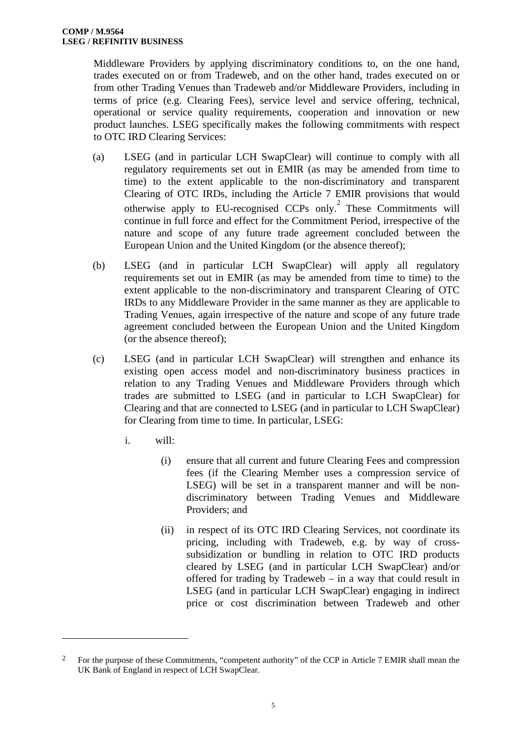Middleware Providers by applying discriminatory conditions to, on the one hand, trades executed on or from Tradeweb, and on the other hand, trades executed on or from other Trading Venues than Tradeweb and/or Middleware Providers, including in terms of price (e.g. Clearing Fees), service level and service offering, technical, operational or service quality requirements, cooperation and innovation or new product launches. LSEG specifically makes the following commitments with respect to OTC IRD Clearing Services:

- (a) LSEG (and in particular LCH SwapClear) will continue to comply with all regulatory requirements set out in EMIR (as may be amended from time to time) to the extent applicable to the non-discriminatory and transparent Clearing of OTC IRDs, including the Article 7 EMIR provisions that would otherwise apply to EU-recognised CCPs only.<sup>2</sup> These Commitments will continue in full force and effect for the Commitment Period, irrespective of the nature and scope of any future trade agreement concluded between the European Union and the United Kingdom (or the absence thereof);
- (b) LSEG (and in particular LCH SwapClear) will apply all regulatory requirements set out in EMIR (as may be amended from time to time) to the extent applicable to the non-discriminatory and transparent Clearing of OTC IRDs to any Middleware Provider in the same manner as they are applicable to Trading Venues, again irrespective of the nature and scope of any future trade agreement concluded between the European Union and the United Kingdom (or the absence thereof);
- (c) LSEG (and in particular LCH SwapClear) will strengthen and enhance its existing open access model and non-discriminatory business practices in relation to any Trading Venues and Middleware Providers through which trades are submitted to LSEG (and in particular to LCH SwapClear) for Clearing and that are connected to LSEG (and in particular to LCH SwapClear) for Clearing from time to time. In particular, LSEG:
	- i. will:
		- (i) ensure that all current and future Clearing Fees and compression fees (if the Clearing Member uses a compression service of LSEG) will be set in a transparent manner and will be nondiscriminatory between Trading Venues and Middleware Providers; and
		- (ii) in respect of its OTC IRD Clearing Services, not coordinate its pricing, including with Tradeweb, e.g. by way of crosssubsidization or bundling in relation to OTC IRD products cleared by LSEG (and in particular LCH SwapClear) and/or offered for trading by Tradeweb – in a way that could result in LSEG (and in particular LCH SwapClear) engaging in indirect price or cost discrimination between Tradeweb and other

<sup>2</sup> For the purpose of these Commitments, "competent authority" of the CCP in Article 7 EMIR shall mean the UK Bank of England in respect of LCH SwapClear.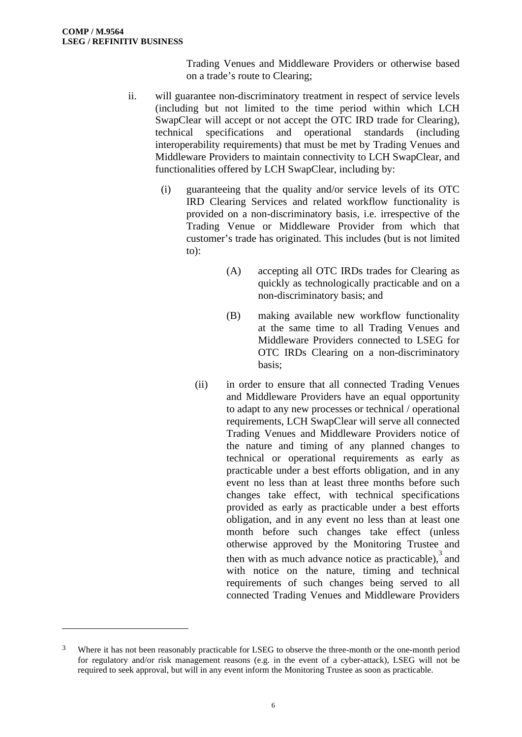Trading Venues and Middleware Providers or otherwise based on a trade's route to Clearing;

- ii. will guarantee non-discriminatory treatment in respect of service levels (including but not limited to the time period within which LCH SwapClear will accept or not accept the OTC IRD trade for Clearing). technical specifications and operational standards (including interoperability requirements) that must be met by Trading Venues and Middleware Providers to maintain connectivity to LCH SwapClear, and functionalities offered by LCH SwapClear, including by:
	- (i) guaranteeing that the quality and/or service levels of its OTC IRD Clearing Services and related workflow functionality is provided on a non-discriminatory basis, i.e. irrespective of the Trading Venue or Middleware Provider from which that customer's trade has originated. This includes (but is not limited to):
		- (A) accepting all OTC IRDs trades for Clearing as quickly as technologically practicable and on a non-discriminatory basis; and
		- (B) making available new workflow functionality at the same time to all Trading Venues and Middleware Providers connected to LSEG for OTC IRDs Clearing on a non-discriminatory basis;
		- (ii) in order to ensure that all connected Trading Venues and Middleware Providers have an equal opportunity to adapt to any new processes or technical / operational requirements, LCH SwapClear will serve all connected Trading Venues and Middleware Providers notice of the nature and timing of any planned changes to technical or operational requirements as early as practicable under a best efforts obligation, and in any event no less than at least three months before such changes take effect, with technical specifications provided as early as practicable under a best efforts obligation, and in any event no less than at least one month before such changes take effect (unless otherwise approved by the Monitoring Trustee and then with as much advance notice as practicable), $3$  and with notice on the nature, timing and technical requirements of such changes being served to all connected Trading Venues and Middleware Providers

<sup>&</sup>lt;sup>3</sup> Where it has not been reasonably practicable for LSEG to observe the three-month or the one-month period for regulatory and/or risk management reasons (e.g. in the event of a cyber-attack), LSEG will not be required to seek approval, but will in any event inform the Monitoring Trustee as soon as practicable.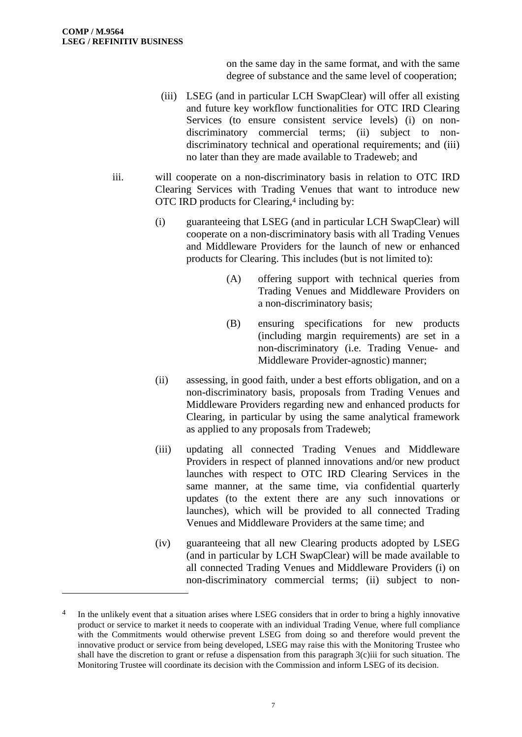on the same day in the same format, and with the same degree of substance and the same level of cooperation;

- (iii) LSEG (and in particular LCH SwapClear) will offer all existing and future key workflow functionalities for OTC IRD Clearing Services (to ensure consistent service levels) (i) on nondiscriminatory commercial terms; (ii) subject to nondiscriminatory technical and operational requirements; and (iii) no later than they are made available to Tradeweb; and
- iii. will cooperate on a non-discriminatory basis in relation to OTC IRD Clearing Services with Trading Venues that want to introduce new OTC IRD products for Clearing,<sup>4</sup> including by:
	- (i) guaranteeing that LSEG (and in particular LCH SwapClear) will cooperate on a non-discriminatory basis with all Trading Venues and Middleware Providers for the launch of new or enhanced products for Clearing. This includes (but is not limited to):
		- (A) offering support with technical queries from Trading Venues and Middleware Providers on a non-discriminatory basis;
		- (B) ensuring specifications for new products (including margin requirements) are set in a non-discriminatory (i.e. Trading Venue- and Middleware Provider-agnostic) manner;
	- (ii) assessing, in good faith, under a best efforts obligation, and on a non-discriminatory basis, proposals from Trading Venues and Middleware Providers regarding new and enhanced products for Clearing, in particular by using the same analytical framework as applied to any proposals from Tradeweb;
	- (iii) updating all connected Trading Venues and Middleware Providers in respect of planned innovations and/or new product launches with respect to OTC IRD Clearing Services in the same manner, at the same time, via confidential quarterly updates (to the extent there are any such innovations or launches), which will be provided to all connected Trading Venues and Middleware Providers at the same time; and
	- (iv) guaranteeing that all new Clearing products adopted by LSEG (and in particular by LCH SwapClear) will be made available to all connected Trading Venues and Middleware Providers (i) on non-discriminatory commercial terms; (ii) subject to non-

<sup>&</sup>lt;sup>4</sup> In the unlikely event that a situation arises where LSEG considers that in order to bring a highly innovative product or service to market it needs to cooperate with an individual Trading Venue, where full compliance with the Commitments would otherwise prevent LSEG from doing so and therefore would prevent the innovative product or service from being developed, LSEG may raise this with the Monitoring Trustee who shall have the discretion to grant or refuse a dispensation from this paragraph 3(c)iii for such situation. The Monitoring Trustee will coordinate its decision with the Commission and inform LSEG of its decision.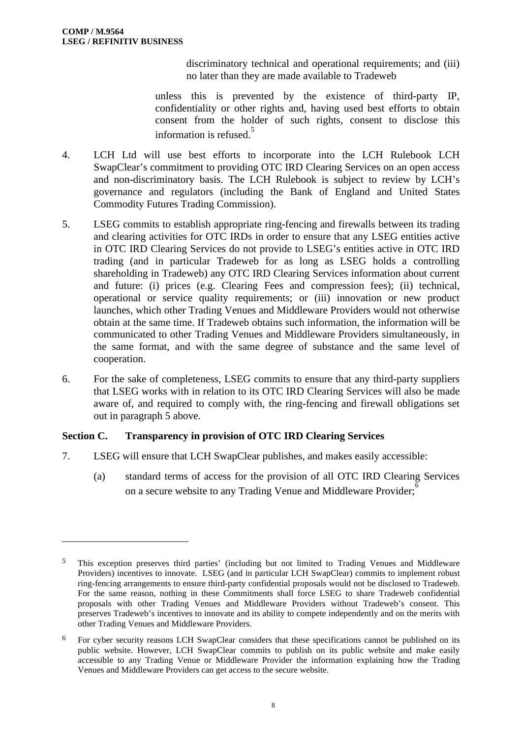discriminatory technical and operational requirements; and (iii) no later than they are made available to Tradeweb

unless this is prevented by the existence of third-party IP, confidentiality or other rights and, having used best efforts to obtain consent from the holder of such rights, consent to disclose this information is refused. $5$ 

- 4. LCH Ltd will use best efforts to incorporate into the LCH Rulebook LCH SwapClear's commitment to providing OTC IRD Clearing Services on an open access and non-discriminatory basis. The LCH Rulebook is subject to review by LCH's governance and regulators (including the Bank of England and United States Commodity Futures Trading Commission).
- 5. LSEG commits to establish appropriate ring-fencing and firewalls between its trading and clearing activities for OTC IRDs in order to ensure that any LSEG entities active in OTC IRD Clearing Services do not provide to LSEG's entities active in OTC IRD trading (and in particular Tradeweb for as long as LSEG holds a controlling shareholding in Tradeweb) any OTC IRD Clearing Services information about current and future: (i) prices (e.g. Clearing Fees and compression fees); (ii) technical, operational or service quality requirements; or (iii) innovation or new product launches, which other Trading Venues and Middleware Providers would not otherwise obtain at the same time. If Tradeweb obtains such information, the information will be communicated to other Trading Venues and Middleware Providers simultaneously, in the same format, and with the same degree of substance and the same level of cooperation.
- 6. For the sake of completeness, LSEG commits to ensure that any third-party suppliers that LSEG works with in relation to its OTC IRD Clearing Services will also be made aware of, and required to comply with, the ring-fencing and firewall obligations set out in paragraph 5 above.

# **Section C. Transparency in provision of OTC IRD Clearing Services**

- 7. LSEG will ensure that LCH SwapClear publishes, and makes easily accessible:
	- (a) standard terms of access for the provision of all OTC IRD Clearing Services on a secure website to any Trading Venue and Middleware Provider;<sup>6</sup>

<sup>5</sup> This exception preserves third parties' (including but not limited to Trading Venues and Middleware Providers) incentives to innovate. LSEG (and in particular LCH SwapClear) commits to implement robust ring-fencing arrangements to ensure third-party confidential proposals would not be disclosed to Tradeweb. For the same reason, nothing in these Commitments shall force LSEG to share Tradeweb confidential proposals with other Trading Venues and Middleware Providers without Tradeweb's consent. This preserves Tradeweb's incentives to innovate and its ability to compete independently and on the merits with other Trading Venues and Middleware Providers.

<sup>6</sup> For cyber security reasons LCH SwapClear considers that these specifications cannot be published on its public website. However, LCH SwapClear commits to publish on its public website and make easily accessible to any Trading Venue or Middleware Provider the information explaining how the Trading Venues and Middleware Providers can get access to the secure website.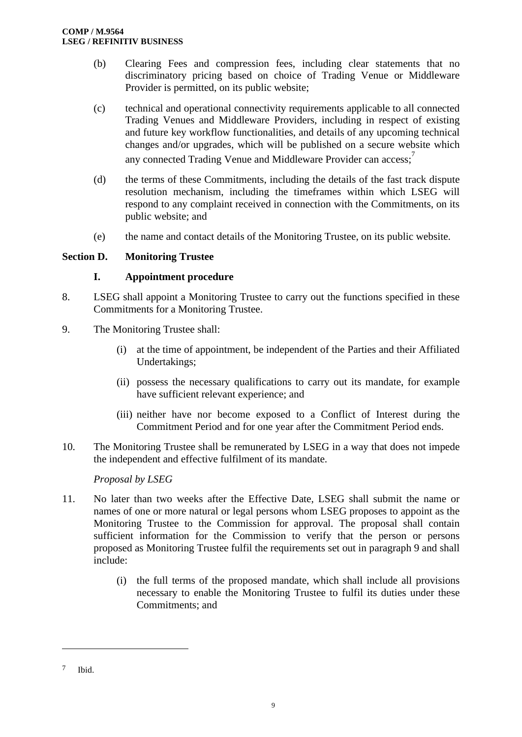- (b) Clearing Fees and compression fees, including clear statements that no discriminatory pricing based on choice of Trading Venue or Middleware Provider is permitted, on its public website;
- (c) technical and operational connectivity requirements applicable to all connected Trading Venues and Middleware Providers, including in respect of existing and future key workflow functionalities, and details of any upcoming technical changes and/or upgrades, which will be published on a secure website which any connected Trading Venue and Middleware Provider can access:
- (d) the terms of these Commitments, including the details of the fast track dispute resolution mechanism, including the timeframes within which LSEG will respond to any complaint received in connection with the Commitments, on its public website; and
- (e) the name and contact details of the Monitoring Trustee, on its public website.

# **Section D. Monitoring Trustee**

#### **I. Appointment procedure**

- 8. LSEG shall appoint a Monitoring Trustee to carry out the functions specified in these Commitments for a Monitoring Trustee.
- 9. The Monitoring Trustee shall:
	- (i) at the time of appointment, be independent of the Parties and their Affiliated Undertakings;
	- (ii) possess the necessary qualifications to carry out its mandate, for example have sufficient relevant experience; and
	- (iii) neither have nor become exposed to a Conflict of Interest during the Commitment Period and for one year after the Commitment Period ends.
- 10. The Monitoring Trustee shall be remunerated by LSEG in a way that does not impede the independent and effective fulfilment of its mandate.

#### *Proposal by LSEG*

- 11. No later than two weeks after the Effective Date, LSEG shall submit the name or names of one or more natural or legal persons whom LSEG proposes to appoint as the Monitoring Trustee to the Commission for approval. The proposal shall contain sufficient information for the Commission to verify that the person or persons proposed as Monitoring Trustee fulfil the requirements set out in paragraph 9 and shall include:
	- (i) the full terms of the proposed mandate, which shall include all provisions necessary to enable the Monitoring Trustee to fulfil its duties under these Commitments; and

<sup>7</sup> Ibid.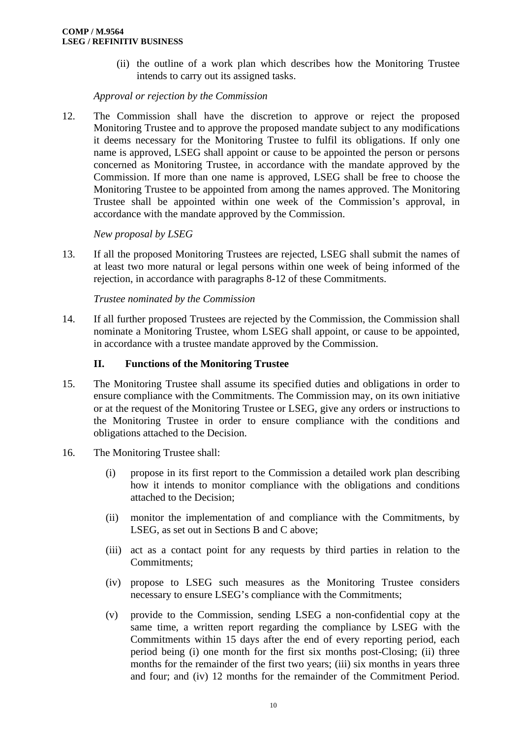(ii) the outline of a work plan which describes how the Monitoring Trustee intends to carry out its assigned tasks.

*Approval or rejection by the Commission* 

12. The Commission shall have the discretion to approve or reject the proposed Monitoring Trustee and to approve the proposed mandate subject to any modifications it deems necessary for the Monitoring Trustee to fulfil its obligations. If only one name is approved, LSEG shall appoint or cause to be appointed the person or persons concerned as Monitoring Trustee, in accordance with the mandate approved by the Commission. If more than one name is approved, LSEG shall be free to choose the Monitoring Trustee to be appointed from among the names approved. The Monitoring Trustee shall be appointed within one week of the Commission's approval, in accordance with the mandate approved by the Commission.

## *New proposal by LSEG*

13. If all the proposed Monitoring Trustees are rejected, LSEG shall submit the names of at least two more natural or legal persons within one week of being informed of the rejection, in accordance with paragraphs 8-12 of these Commitments.

*Trustee nominated by the Commission* 

14. If all further proposed Trustees are rejected by the Commission, the Commission shall nominate a Monitoring Trustee, whom LSEG shall appoint, or cause to be appointed, in accordance with a trustee mandate approved by the Commission.

## **II. Functions of the Monitoring Trustee**

- 15. The Monitoring Trustee shall assume its specified duties and obligations in order to ensure compliance with the Commitments. The Commission may, on its own initiative or at the request of the Monitoring Trustee or LSEG, give any orders or instructions to the Monitoring Trustee in order to ensure compliance with the conditions and obligations attached to the Decision.
- 16. The Monitoring Trustee shall:
	- (i) propose in its first report to the Commission a detailed work plan describing how it intends to monitor compliance with the obligations and conditions attached to the Decision;
	- (ii) monitor the implementation of and compliance with the Commitments, by LSEG, as set out in Sections B and C above;
	- (iii) act as a contact point for any requests by third parties in relation to the Commitments;
	- (iv) propose to LSEG such measures as the Monitoring Trustee considers necessary to ensure LSEG's compliance with the Commitments;
	- (v) provide to the Commission, sending LSEG a non-confidential copy at the same time, a written report regarding the compliance by LSEG with the Commitments within 15 days after the end of every reporting period, each period being (i) one month for the first six months post-Closing; (ii) three months for the remainder of the first two years; (iii) six months in years three and four; and (iv) 12 months for the remainder of the Commitment Period.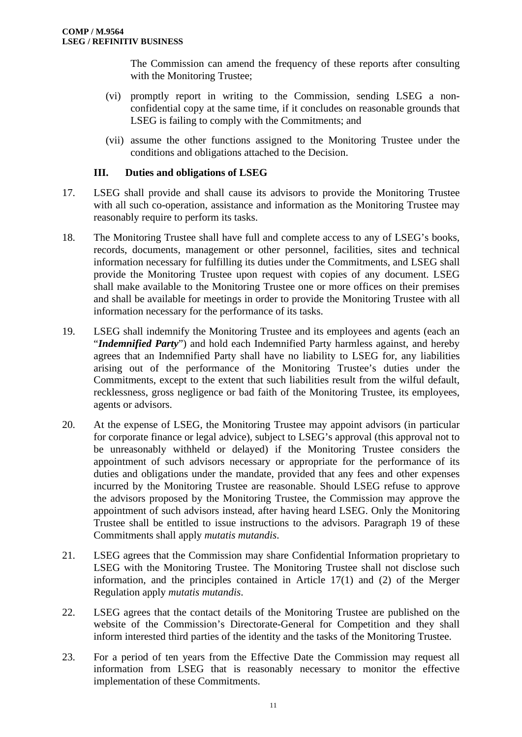The Commission can amend the frequency of these reports after consulting with the Monitoring Trustee;

- (vi) promptly report in writing to the Commission, sending LSEG a nonconfidential copy at the same time, if it concludes on reasonable grounds that LSEG is failing to comply with the Commitments; and
- (vii) assume the other functions assigned to the Monitoring Trustee under the conditions and obligations attached to the Decision.

## **III. Duties and obligations of LSEG**

- 17. LSEG shall provide and shall cause its advisors to provide the Monitoring Trustee with all such co-operation, assistance and information as the Monitoring Trustee may reasonably require to perform its tasks.
- 18. The Monitoring Trustee shall have full and complete access to any of LSEG's books, records, documents, management or other personnel, facilities, sites and technical information necessary for fulfilling its duties under the Commitments, and LSEG shall provide the Monitoring Trustee upon request with copies of any document. LSEG shall make available to the Monitoring Trustee one or more offices on their premises and shall be available for meetings in order to provide the Monitoring Trustee with all information necessary for the performance of its tasks.
- 19. LSEG shall indemnify the Monitoring Trustee and its employees and agents (each an "*Indemnified Party*") and hold each Indemnified Party harmless against, and hereby agrees that an Indemnified Party shall have no liability to LSEG for, any liabilities arising out of the performance of the Monitoring Trustee's duties under the Commitments, except to the extent that such liabilities result from the wilful default, recklessness, gross negligence or bad faith of the Monitoring Trustee, its employees, agents or advisors.
- 20. At the expense of LSEG, the Monitoring Trustee may appoint advisors (in particular for corporate finance or legal advice), subject to LSEG's approval (this approval not to be unreasonably withheld or delayed) if the Monitoring Trustee considers the appointment of such advisors necessary or appropriate for the performance of its duties and obligations under the mandate, provided that any fees and other expenses incurred by the Monitoring Trustee are reasonable. Should LSEG refuse to approve the advisors proposed by the Monitoring Trustee, the Commission may approve the appointment of such advisors instead, after having heard LSEG. Only the Monitoring Trustee shall be entitled to issue instructions to the advisors. Paragraph 19 of these Commitments shall apply *mutatis mutandis*.
- 21. LSEG agrees that the Commission may share Confidential Information proprietary to LSEG with the Monitoring Trustee. The Monitoring Trustee shall not disclose such information, and the principles contained in Article 17(1) and (2) of the Merger Regulation apply *mutatis mutandis*.
- 22. LSEG agrees that the contact details of the Monitoring Trustee are published on the website of the Commission's Directorate-General for Competition and they shall inform interested third parties of the identity and the tasks of the Monitoring Trustee.
- 23. For a period of ten years from the Effective Date the Commission may request all information from LSEG that is reasonably necessary to monitor the effective implementation of these Commitments.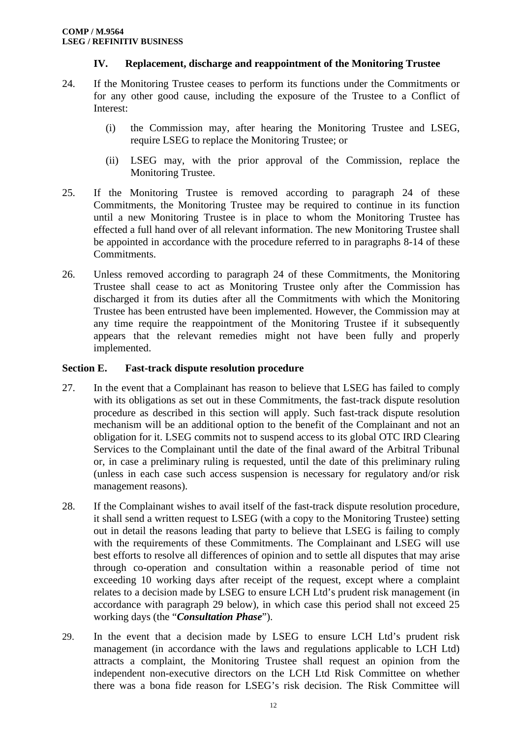# **IV. Replacement, discharge and reappointment of the Monitoring Trustee**

- 24. If the Monitoring Trustee ceases to perform its functions under the Commitments or for any other good cause, including the exposure of the Trustee to a Conflict of Interest:
	- (i) the Commission may, after hearing the Monitoring Trustee and LSEG, require LSEG to replace the Monitoring Trustee; or
	- (ii) LSEG may, with the prior approval of the Commission, replace the Monitoring Trustee.
- 25. If the Monitoring Trustee is removed according to paragraph 24 of these Commitments, the Monitoring Trustee may be required to continue in its function until a new Monitoring Trustee is in place to whom the Monitoring Trustee has effected a full hand over of all relevant information. The new Monitoring Trustee shall be appointed in accordance with the procedure referred to in paragraphs 8-14 of these Commitments.
- 26. Unless removed according to paragraph 24 of these Commitments, the Monitoring Trustee shall cease to act as Monitoring Trustee only after the Commission has discharged it from its duties after all the Commitments with which the Monitoring Trustee has been entrusted have been implemented. However, the Commission may at any time require the reappointment of the Monitoring Trustee if it subsequently appears that the relevant remedies might not have been fully and properly implemented.

#### **Section E. Fast-track dispute resolution procedure**

- 27. In the event that a Complainant has reason to believe that LSEG has failed to comply with its obligations as set out in these Commitments, the fast-track dispute resolution procedure as described in this section will apply. Such fast-track dispute resolution mechanism will be an additional option to the benefit of the Complainant and not an obligation for it. LSEG commits not to suspend access to its global OTC IRD Clearing Services to the Complainant until the date of the final award of the Arbitral Tribunal or, in case a preliminary ruling is requested, until the date of this preliminary ruling (unless in each case such access suspension is necessary for regulatory and/or risk management reasons).
- 28. If the Complainant wishes to avail itself of the fast-track dispute resolution procedure, it shall send a written request to LSEG (with a copy to the Monitoring Trustee) setting out in detail the reasons leading that party to believe that LSEG is failing to comply with the requirements of these Commitments. The Complainant and LSEG will use best efforts to resolve all differences of opinion and to settle all disputes that may arise through co-operation and consultation within a reasonable period of time not exceeding 10 working days after receipt of the request, except where a complaint relates to a decision made by LSEG to ensure LCH Ltd's prudent risk management (in accordance with paragraph 29 below), in which case this period shall not exceed 25 working days (the "*Consultation Phase*").
- 29. In the event that a decision made by LSEG to ensure LCH Ltd's prudent risk management (in accordance with the laws and regulations applicable to LCH Ltd) attracts a complaint, the Monitoring Trustee shall request an opinion from the independent non-executive directors on the LCH Ltd Risk Committee on whether there was a bona fide reason for LSEG's risk decision. The Risk Committee will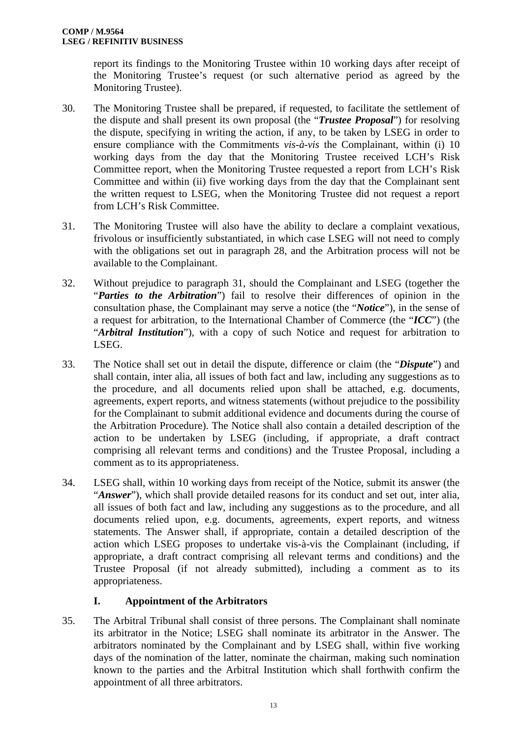report its findings to the Monitoring Trustee within 10 working days after receipt of the Monitoring Trustee's request (or such alternative period as agreed by the Monitoring Trustee).

- 30. The Monitoring Trustee shall be prepared, if requested, to facilitate the settlement of the dispute and shall present its own proposal (the "*Trustee Proposal*") for resolving the dispute, specifying in writing the action, if any, to be taken by LSEG in order to ensure compliance with the Commitments *vis-à-vis* the Complainant, within (i) 10 working days from the day that the Monitoring Trustee received LCH's Risk Committee report, when the Monitoring Trustee requested a report from LCH's Risk Committee and within (ii) five working days from the day that the Complainant sent the written request to LSEG, when the Monitoring Trustee did not request a report from LCH's Risk Committee.
- 31. The Monitoring Trustee will also have the ability to declare a complaint vexatious, frivolous or insufficiently substantiated, in which case LSEG will not need to comply with the obligations set out in paragraph 28, and the Arbitration process will not be available to the Complainant.
- 32. Without prejudice to paragraph 31, should the Complainant and LSEG (together the "*Parties to the Arbitration*") fail to resolve their differences of opinion in the consultation phase, the Complainant may serve a notice (the "*Notice*"), in the sense of a request for arbitration, to the International Chamber of Commerce (the "*ICC*") (the "*Arbitral Institution*"), with a copy of such Notice and request for arbitration to LSEG.
- 33. The Notice shall set out in detail the dispute, difference or claim (the "*Dispute*") and shall contain, inter alia, all issues of both fact and law, including any suggestions as to the procedure, and all documents relied upon shall be attached, e.g. documents, agreements, expert reports, and witness statements (without prejudice to the possibility for the Complainant to submit additional evidence and documents during the course of the Arbitration Procedure). The Notice shall also contain a detailed description of the action to be undertaken by LSEG (including, if appropriate, a draft contract comprising all relevant terms and conditions) and the Trustee Proposal, including a comment as to its appropriateness.
- 34. LSEG shall, within 10 working days from receipt of the Notice, submit its answer (the "*Answer*"), which shall provide detailed reasons for its conduct and set out, inter alia, all issues of both fact and law, including any suggestions as to the procedure, and all documents relied upon, e.g. documents, agreements, expert reports, and witness statements. The Answer shall, if appropriate, contain a detailed description of the action which LSEG proposes to undertake vis-à-vis the Complainant (including, if appropriate, a draft contract comprising all relevant terms and conditions) and the Trustee Proposal (if not already submitted), including a comment as to its appropriateness.

# **I. Appointment of the Arbitrators**

35. The Arbitral Tribunal shall consist of three persons. The Complainant shall nominate its arbitrator in the Notice; LSEG shall nominate its arbitrator in the Answer. The arbitrators nominated by the Complainant and by LSEG shall, within five working days of the nomination of the latter, nominate the chairman, making such nomination known to the parties and the Arbitral Institution which shall forthwith confirm the appointment of all three arbitrators.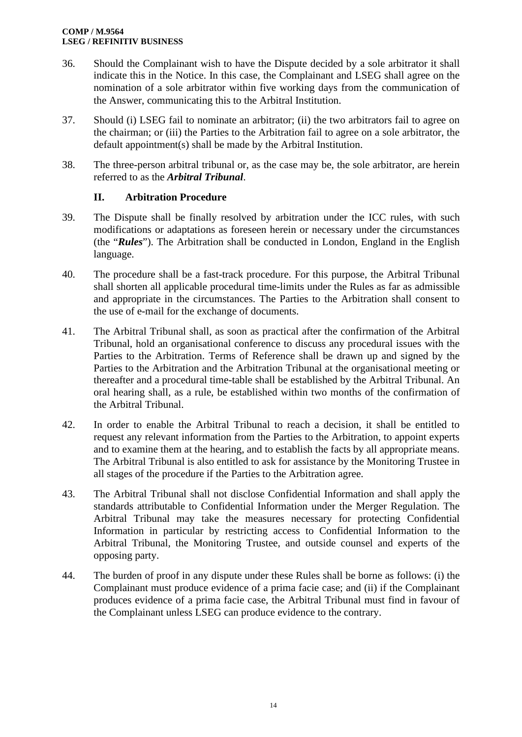- 36. Should the Complainant wish to have the Dispute decided by a sole arbitrator it shall indicate this in the Notice. In this case, the Complainant and LSEG shall agree on the nomination of a sole arbitrator within five working days from the communication of the Answer, communicating this to the Arbitral Institution.
- 37. Should (i) LSEG fail to nominate an arbitrator; (ii) the two arbitrators fail to agree on the chairman; or (iii) the Parties to the Arbitration fail to agree on a sole arbitrator, the default appointment(s) shall be made by the Arbitral Institution.
- 38. The three-person arbitral tribunal or, as the case may be, the sole arbitrator, are herein referred to as the *Arbitral Tribunal*.

# **II. Arbitration Procedure**

- 39. The Dispute shall be finally resolved by arbitration under the ICC rules, with such modifications or adaptations as foreseen herein or necessary under the circumstances (the "*Rules*"). The Arbitration shall be conducted in London, England in the English language.
- 40. The procedure shall be a fast-track procedure. For this purpose, the Arbitral Tribunal shall shorten all applicable procedural time-limits under the Rules as far as admissible and appropriate in the circumstances. The Parties to the Arbitration shall consent to the use of e-mail for the exchange of documents.
- 41. The Arbitral Tribunal shall, as soon as practical after the confirmation of the Arbitral Tribunal, hold an organisational conference to discuss any procedural issues with the Parties to the Arbitration. Terms of Reference shall be drawn up and signed by the Parties to the Arbitration and the Arbitration Tribunal at the organisational meeting or thereafter and a procedural time-table shall be established by the Arbitral Tribunal. An oral hearing shall, as a rule, be established within two months of the confirmation of the Arbitral Tribunal.
- 42. In order to enable the Arbitral Tribunal to reach a decision, it shall be entitled to request any relevant information from the Parties to the Arbitration, to appoint experts and to examine them at the hearing, and to establish the facts by all appropriate means. The Arbitral Tribunal is also entitled to ask for assistance by the Monitoring Trustee in all stages of the procedure if the Parties to the Arbitration agree.
- 43. The Arbitral Tribunal shall not disclose Confidential Information and shall apply the standards attributable to Confidential Information under the Merger Regulation. The Arbitral Tribunal may take the measures necessary for protecting Confidential Information in particular by restricting access to Confidential Information to the Arbitral Tribunal, the Monitoring Trustee, and outside counsel and experts of the opposing party.
- 44. The burden of proof in any dispute under these Rules shall be borne as follows: (i) the Complainant must produce evidence of a prima facie case; and (ii) if the Complainant produces evidence of a prima facie case, the Arbitral Tribunal must find in favour of the Complainant unless LSEG can produce evidence to the contrary.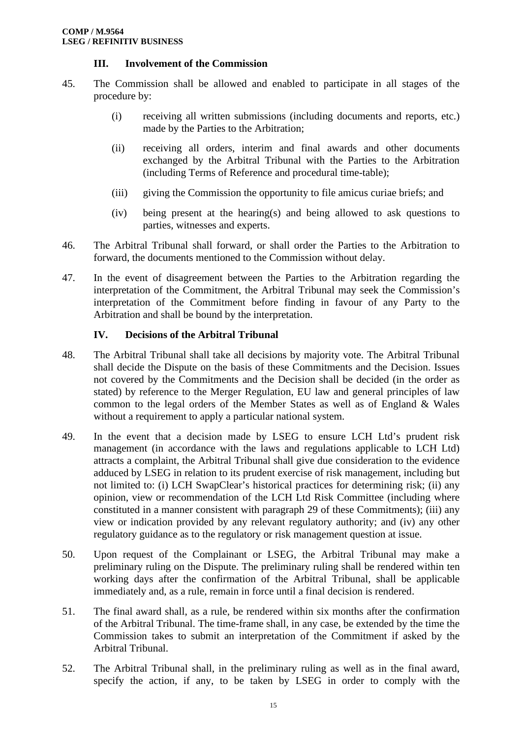## **III. Involvement of the Commission**

- 45. The Commission shall be allowed and enabled to participate in all stages of the procedure by:
	- (i) receiving all written submissions (including documents and reports, etc.) made by the Parties to the Arbitration;
	- (ii) receiving all orders, interim and final awards and other documents exchanged by the Arbitral Tribunal with the Parties to the Arbitration (including Terms of Reference and procedural time-table);
	- (iii) giving the Commission the opportunity to file amicus curiae briefs; and
	- (iv) being present at the hearing(s) and being allowed to ask questions to parties, witnesses and experts.
- 46. The Arbitral Tribunal shall forward, or shall order the Parties to the Arbitration to forward, the documents mentioned to the Commission without delay.
- 47. In the event of disagreement between the Parties to the Arbitration regarding the interpretation of the Commitment, the Arbitral Tribunal may seek the Commission's interpretation of the Commitment before finding in favour of any Party to the Arbitration and shall be bound by the interpretation.

## **IV. Decisions of the Arbitral Tribunal**

- 48. The Arbitral Tribunal shall take all decisions by majority vote. The Arbitral Tribunal shall decide the Dispute on the basis of these Commitments and the Decision. Issues not covered by the Commitments and the Decision shall be decided (in the order as stated) by reference to the Merger Regulation, EU law and general principles of law common to the legal orders of the Member States as well as of England & Wales without a requirement to apply a particular national system.
- 49. In the event that a decision made by LSEG to ensure LCH Ltd's prudent risk management (in accordance with the laws and regulations applicable to LCH Ltd) attracts a complaint, the Arbitral Tribunal shall give due consideration to the evidence adduced by LSEG in relation to its prudent exercise of risk management, including but not limited to: (i) LCH SwapClear's historical practices for determining risk; (ii) any opinion, view or recommendation of the LCH Ltd Risk Committee (including where constituted in a manner consistent with paragraph 29 of these Commitments); (iii) any view or indication provided by any relevant regulatory authority; and (iv) any other regulatory guidance as to the regulatory or risk management question at issue.
- 50. Upon request of the Complainant or LSEG, the Arbitral Tribunal may make a preliminary ruling on the Dispute. The preliminary ruling shall be rendered within ten working days after the confirmation of the Arbitral Tribunal, shall be applicable immediately and, as a rule, remain in force until a final decision is rendered.
- 51. The final award shall, as a rule, be rendered within six months after the confirmation of the Arbitral Tribunal. The time-frame shall, in any case, be extended by the time the Commission takes to submit an interpretation of the Commitment if asked by the Arbitral Tribunal.
- 52. The Arbitral Tribunal shall, in the preliminary ruling as well as in the final award, specify the action, if any, to be taken by LSEG in order to comply with the